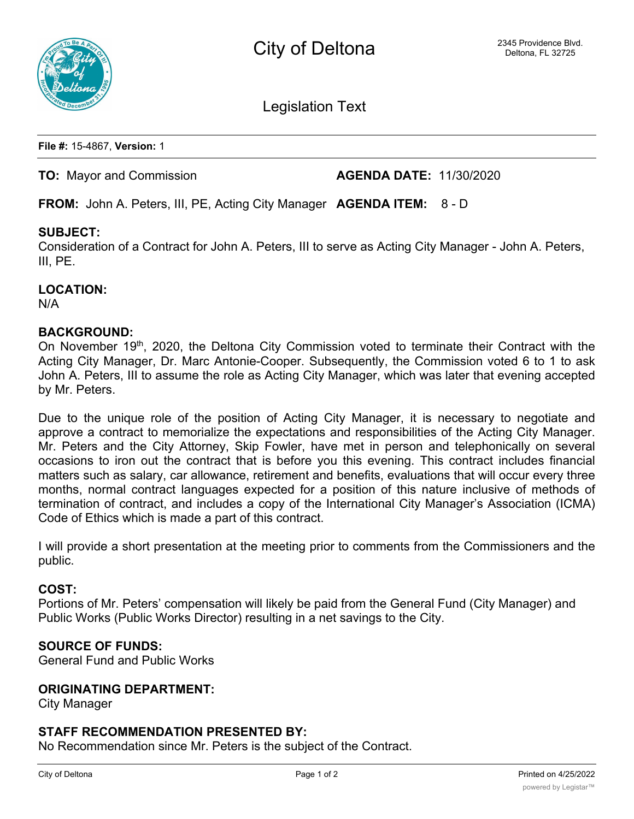



Legislation Text

**File #:** 15-4867, **Version:** 1

### **TO:** Mayor and Commission **AGENDA DATE:** 11/30/2020

**FROM:** John A. Peters, III, PE, Acting City Manager **AGENDA ITEM:** 8 - D

# **SUBJECT:**

Consideration of a Contract for John A. Peters, III to serve as Acting City Manager - John A. Peters, III, PE.

**LOCATION:** N/A

### **BACKGROUND:**

On November 19<sup>th</sup>, 2020, the Deltona City Commission voted to terminate their Contract with the Acting City Manager, Dr. Marc Antonie-Cooper. Subsequently, the Commission voted 6 to 1 to ask John A. Peters, III to assume the role as Acting City Manager, which was later that evening accepted by Mr. Peters.

Due to the unique role of the position of Acting City Manager, it is necessary to negotiate and approve a contract to memorialize the expectations and responsibilities of the Acting City Manager. Mr. Peters and the City Attorney, Skip Fowler, have met in person and telephonically on several occasions to iron out the contract that is before you this evening. This contract includes financial matters such as salary, car allowance, retirement and benefits, evaluations that will occur every three months, normal contract languages expected for a position of this nature inclusive of methods of termination of contract, and includes a copy of the International City Manager's Association (ICMA) Code of Ethics which is made a part of this contract.

I will provide a short presentation at the meeting prior to comments from the Commissioners and the public.

#### **COST:**

Portions of Mr. Peters' compensation will likely be paid from the General Fund (City Manager) and Public Works (Public Works Director) resulting in a net savings to the City.

# **SOURCE OF FUNDS:**

General Fund and Public Works

### **ORIGINATING DEPARTMENT:**

City Manager

#### **STAFF RECOMMENDATION PRESENTED BY:**

No Recommendation since Mr. Peters is the subject of the Contract.